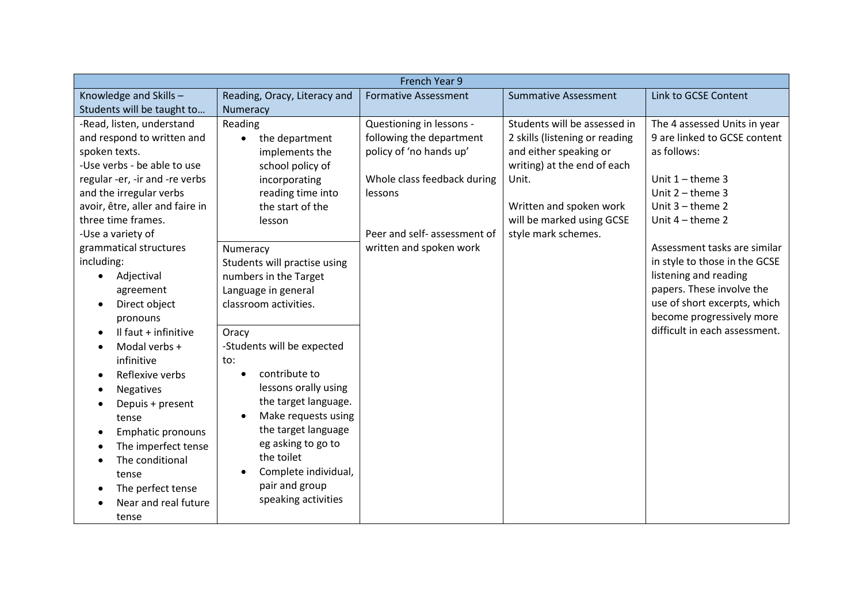| French Year 9                     |                                   |                              |                                |                               |  |  |
|-----------------------------------|-----------------------------------|------------------------------|--------------------------------|-------------------------------|--|--|
| Knowledge and Skills-             | Reading, Oracy, Literacy and      | <b>Formative Assessment</b>  | <b>Summative Assessment</b>    | Link to GCSE Content          |  |  |
| Students will be taught to        | Numeracy                          |                              |                                |                               |  |  |
| -Read, listen, understand         | Reading                           | Questioning in lessons -     | Students will be assessed in   | The 4 assessed Units in year  |  |  |
| and respond to written and        | the department<br>$\bullet$       | following the department     | 2 skills (listening or reading | 9 are linked to GCSE content  |  |  |
| spoken texts.                     | implements the                    | policy of 'no hands up'      | and either speaking or         | as follows:                   |  |  |
| -Use verbs - be able to use       | school policy of                  |                              | writing) at the end of each    |                               |  |  |
| regular -er, -ir and -re verbs    | incorporating                     | Whole class feedback during  | Unit.                          | Unit $1$ – theme 3            |  |  |
| and the irregular verbs           | reading time into                 | lessons                      |                                | Unit $2 -$ theme 3            |  |  |
| avoir, être, aller and faire in   | the start of the                  |                              | Written and spoken work        | Unit $3$ – theme $2$          |  |  |
| three time frames.                | lesson                            |                              | will be marked using GCSE      | Unit $4$ – theme 2            |  |  |
| -Use a variety of                 |                                   | Peer and self- assessment of | style mark schemes.            |                               |  |  |
| grammatical structures            | Numeracy                          | written and spoken work      |                                | Assessment tasks are similar  |  |  |
| including:                        | Students will practise using      |                              |                                | in style to those in the GCSE |  |  |
| Adjectival<br>$\bullet$           | numbers in the Target             |                              |                                | listening and reading         |  |  |
| agreement                         | Language in general               |                              |                                | papers. These involve the     |  |  |
| Direct object<br>$\bullet$        | classroom activities.             |                              |                                | use of short excerpts, which  |  |  |
| pronouns                          |                                   |                              |                                | become progressively more     |  |  |
| Il faut + infinitive<br>$\bullet$ | Oracy                             |                              |                                | difficult in each assessment. |  |  |
| Modal verbs +<br>$\bullet$        | -Students will be expected        |                              |                                |                               |  |  |
| infinitive                        | to:                               |                              |                                |                               |  |  |
| Reflexive verbs<br>$\bullet$      | contribute to<br>$\bullet$        |                              |                                |                               |  |  |
| <b>Negatives</b><br>$\bullet$     | lessons orally using              |                              |                                |                               |  |  |
| Depuis + present<br>$\bullet$     | the target language.              |                              |                                |                               |  |  |
| tense                             | Make requests using<br>$\bullet$  |                              |                                |                               |  |  |
| Emphatic pronouns<br>$\bullet$    | the target language               |                              |                                |                               |  |  |
| The imperfect tense<br>$\bullet$  | eg asking to go to                |                              |                                |                               |  |  |
| The conditional                   | the toilet                        |                              |                                |                               |  |  |
| tense                             | Complete individual,<br>$\bullet$ |                              |                                |                               |  |  |
| The perfect tense                 | pair and group                    |                              |                                |                               |  |  |
| Near and real future              | speaking activities               |                              |                                |                               |  |  |
| tense                             |                                   |                              |                                |                               |  |  |